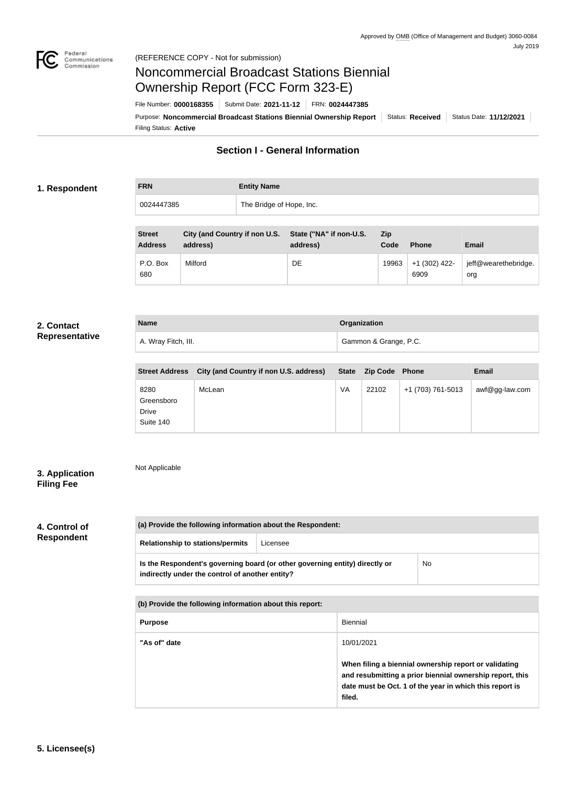

Not Applicable

# Noncommercial Broadcast Stations Biennial Ownership Report (FCC Form 323-E)

Filing Status: **Active** Purpose: Noncommercial Broadcast Stations Biennial Ownership Report | Status: Received | Status Date: 11/12/2021 File Number: **0000168355** Submit Date: **2021-11-12** FRN: **0024447385**

# **Section I - General Information**

# **1. Respondent**

| <b>FRN</b> | <b>Entity Name</b>       |
|------------|--------------------------|
| 0024447385 | The Bridge of Hope, Inc. |

| <b>Street</b><br><b>Address</b> | City (and Country if non U.S.<br>address) | State ("NA" if non-U.S.<br>address) | <b>Zip</b><br>Code | <b>Phone</b>          | <b>Email</b>                |
|---------------------------------|-------------------------------------------|-------------------------------------|--------------------|-----------------------|-----------------------------|
| P.O. Box<br>680                 | Milford                                   | DE                                  | 19963              | +1 (302) 422-<br>6909 | jeff@wearethebridge.<br>org |

#### **2. Contact Representative**

| <b>Name</b>         | Organization          |
|---------------------|-----------------------|
| A. Wray Fitch, III. | Gammon & Grange, P.C. |
|                     |                       |

| <b>Street Address</b>                           | City (and Country if non U.S. address) |    | State Zip Code Phone |                   | <b>Email</b>   |
|-------------------------------------------------|----------------------------------------|----|----------------------|-------------------|----------------|
| 8280<br>Greensboro<br><b>Drive</b><br>Suite 140 | McLean                                 | VA | 22102                | +1 (703) 761-5013 | awf@gg-law.com |

# **3. Application Filing Fee**

# **4. Control of**

| 4. GONNOLOI       |  |
|-------------------|--|
| <b>Respondent</b> |  |

| (a) Provide the following information about the Respondent:                                                                    |          |    |
|--------------------------------------------------------------------------------------------------------------------------------|----------|----|
| <b>Relationship to stations/permits</b>                                                                                        | Licensee |    |
| Is the Respondent's governing board (or other governing entity) directly or<br>indirectly under the control of another entity? |          | No |

| (b) Provide the following information about this report: |                                                                                                                                                                                        |
|----------------------------------------------------------|----------------------------------------------------------------------------------------------------------------------------------------------------------------------------------------|
| <b>Purpose</b>                                           | <b>Biennial</b>                                                                                                                                                                        |
| "As of" date                                             | 10/01/2021                                                                                                                                                                             |
|                                                          | When filing a biennial ownership report or validating<br>and resubmitting a prior biennial ownership report, this<br>date must be Oct. 1 of the year in which this report is<br>filed. |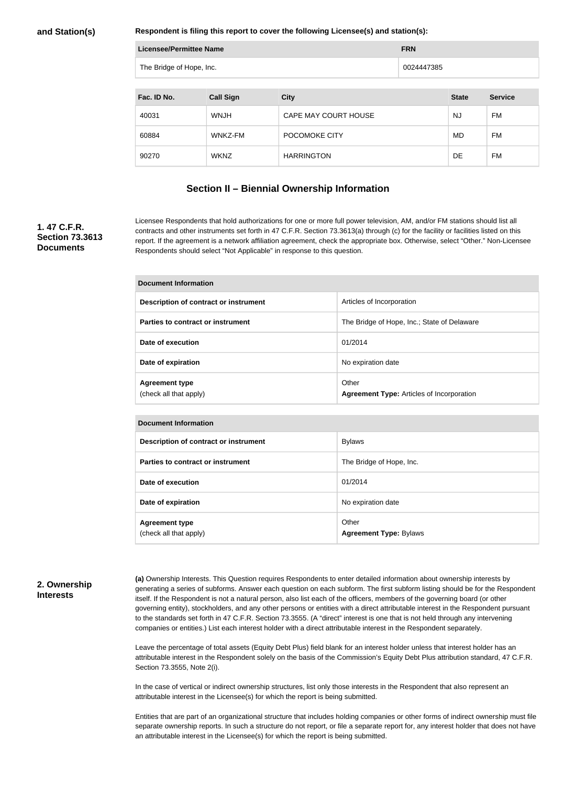**Respondent is filing this report to cover the following Licensee(s) and station(s):**

| <b>Licensee/Permittee Name</b> | <b>FRN</b> |
|--------------------------------|------------|
| The Bridge of Hope, Inc.       | 0024447385 |

| Fac. ID No. | <b>Call Sign</b> | <b>City</b>          | <b>State</b> | <b>Service</b> |
|-------------|------------------|----------------------|--------------|----------------|
| 40031       | <b>WNJH</b>      | CAPE MAY COURT HOUSE | NJ           | FM             |
| 60884       | WNKZ-FM          | POCOMOKE CITY        | MD           | FM             |
| 90270       | <b>WKNZ</b>      | <b>HARRINGTON</b>    | DE           | FM             |

## **Section II – Biennial Ownership Information**

## **1. 47 C.F.R. Section 73.3613 Documents**

Licensee Respondents that hold authorizations for one or more full power television, AM, and/or FM stations should list all contracts and other instruments set forth in 47 C.F.R. Section 73.3613(a) through (c) for the facility or facilities listed on this report. If the agreement is a network affiliation agreement, check the appropriate box. Otherwise, select "Other." Non-Licensee Respondents should select "Not Applicable" in response to this question.

| Document Information                            |                                                           |  |
|-------------------------------------------------|-----------------------------------------------------------|--|
| Description of contract or instrument           | Articles of Incorporation                                 |  |
| Parties to contract or instrument               | The Bridge of Hope, Inc.; State of Delaware               |  |
| Date of execution                               | 01/2014                                                   |  |
| Date of expiration                              | No expiration date                                        |  |
| <b>Agreement type</b><br>(check all that apply) | Other<br><b>Agreement Type: Articles of Incorporation</b> |  |

| Description of contract or instrument           | <b>Bylaws</b>                          |
|-------------------------------------------------|----------------------------------------|
| Parties to contract or instrument               | The Bridge of Hope, Inc.               |
| Date of execution                               | 01/2014                                |
| Date of expiration                              | No expiration date                     |
| <b>Agreement type</b><br>(check all that apply) | Other<br><b>Agreement Type: Bylaws</b> |

#### **2. Ownership Interests**

**(a)** Ownership Interests. This Question requires Respondents to enter detailed information about ownership interests by generating a series of subforms. Answer each question on each subform. The first subform listing should be for the Respondent itself. If the Respondent is not a natural person, also list each of the officers, members of the governing board (or other governing entity), stockholders, and any other persons or entities with a direct attributable interest in the Respondent pursuant to the standards set forth in 47 C.F.R. Section 73.3555. (A "direct" interest is one that is not held through any intervening companies or entities.) List each interest holder with a direct attributable interest in the Respondent separately.

Leave the percentage of total assets (Equity Debt Plus) field blank for an interest holder unless that interest holder has an attributable interest in the Respondent solely on the basis of the Commission's Equity Debt Plus attribution standard, 47 C.F.R. Section 73.3555, Note 2(i).

In the case of vertical or indirect ownership structures, list only those interests in the Respondent that also represent an attributable interest in the Licensee(s) for which the report is being submitted.

Entities that are part of an organizational structure that includes holding companies or other forms of indirect ownership must file separate ownership reports. In such a structure do not report, or file a separate report for, any interest holder that does not have an attributable interest in the Licensee(s) for which the report is being submitted.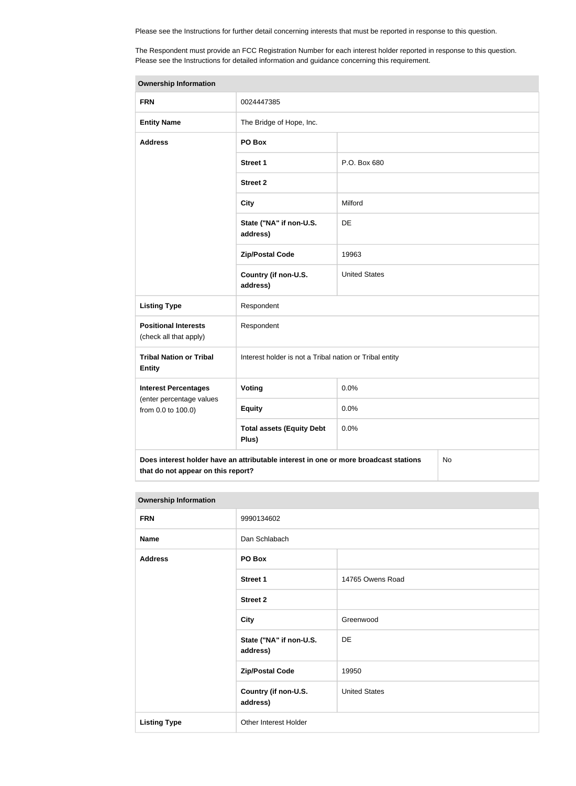Please see the Instructions for further detail concerning interests that must be reported in response to this question.

The Respondent must provide an FCC Registration Number for each interest holder reported in response to this question. Please see the Instructions for detailed information and guidance concerning this requirement.

| <b>Ownership Information</b>                          |                                                                                      |                      |    |
|-------------------------------------------------------|--------------------------------------------------------------------------------------|----------------------|----|
| <b>FRN</b>                                            | 0024447385                                                                           |                      |    |
| <b>Entity Name</b>                                    | The Bridge of Hope, Inc.                                                             |                      |    |
| <b>Address</b>                                        | PO Box                                                                               |                      |    |
|                                                       | <b>Street 1</b>                                                                      | P.O. Box 680         |    |
|                                                       | <b>Street 2</b>                                                                      |                      |    |
|                                                       | <b>City</b>                                                                          | Milford              |    |
|                                                       | State ("NA" if non-U.S.<br>address)                                                  | DE                   |    |
|                                                       | <b>Zip/Postal Code</b>                                                               | 19963                |    |
|                                                       | Country (if non-U.S.<br>address)                                                     | <b>United States</b> |    |
| <b>Listing Type</b>                                   | Respondent                                                                           |                      |    |
| <b>Positional Interests</b><br>(check all that apply) | Respondent                                                                           |                      |    |
| <b>Tribal Nation or Tribal</b><br><b>Entity</b>       | Interest holder is not a Tribal nation or Tribal entity                              |                      |    |
| <b>Interest Percentages</b>                           | Voting                                                                               | 0.0%                 |    |
| (enter percentage values<br>from 0.0 to 100.0)        | <b>Equity</b>                                                                        | 0.0%                 |    |
|                                                       | <b>Total assets (Equity Debt</b><br>Plus)                                            | 0.0%                 |    |
| that do not appear on this report?                    | Does interest holder have an attributable interest in one or more broadcast stations |                      | No |

#### **Ownership Information**

| the contract of the contract of the contract of the contract of the contract of the contract of the contract of |                                     |                      |  |
|-----------------------------------------------------------------------------------------------------------------|-------------------------------------|----------------------|--|
| <b>FRN</b>                                                                                                      | 9990134602                          |                      |  |
| <b>Name</b>                                                                                                     | Dan Schlabach                       |                      |  |
| <b>Address</b>                                                                                                  | PO Box                              |                      |  |
|                                                                                                                 | <b>Street 1</b>                     | 14765 Owens Road     |  |
|                                                                                                                 | <b>Street 2</b>                     |                      |  |
|                                                                                                                 | <b>City</b>                         | Greenwood            |  |
|                                                                                                                 | State ("NA" if non-U.S.<br>address) | DE                   |  |
|                                                                                                                 | <b>Zip/Postal Code</b>              | 19950                |  |
|                                                                                                                 | Country (if non-U.S.<br>address)    | <b>United States</b> |  |
| <b>Listing Type</b>                                                                                             | Other Interest Holder               |                      |  |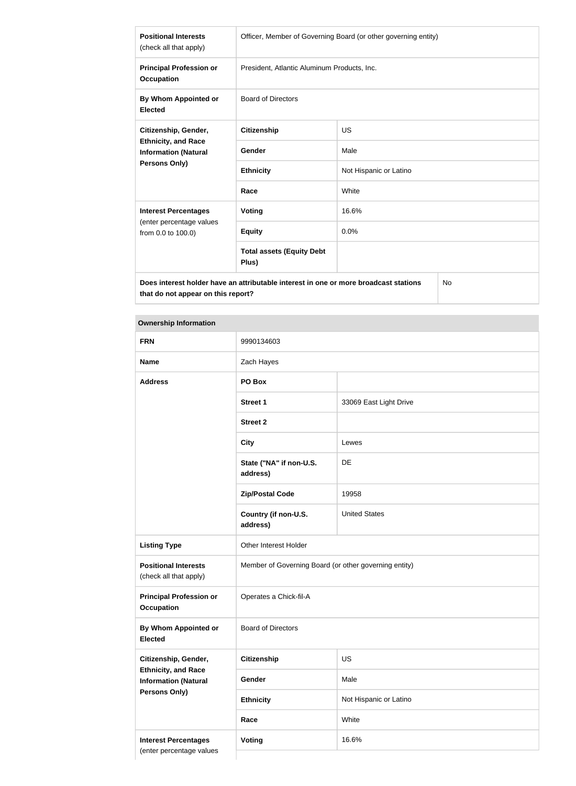| <b>Positional Interests</b><br>(check all that apply)                                              | Officer, Member of Governing Board (or other governing entity) |                        |  |
|----------------------------------------------------------------------------------------------------|----------------------------------------------------------------|------------------------|--|
| <b>Principal Profession or</b><br><b>Occupation</b>                                                | President, Atlantic Aluminum Products, Inc.                    |                        |  |
| By Whom Appointed or<br><b>Elected</b>                                                             | <b>Board of Directors</b>                                      |                        |  |
| Citizenship, Gender,<br><b>Ethnicity, and Race</b><br><b>Information (Natural</b><br>Persons Only) | <b>Citizenship</b>                                             | <b>US</b>              |  |
|                                                                                                    | Gender                                                         | Male                   |  |
|                                                                                                    | <b>Ethnicity</b>                                               | Not Hispanic or Latino |  |
|                                                                                                    | Race                                                           | White                  |  |
| <b>Interest Percentages</b>                                                                        | Voting                                                         | 16.6%                  |  |
| (enter percentage values<br>from 0.0 to 100.0)                                                     | <b>Equity</b>                                                  | 0.0%                   |  |
|                                                                                                    | <b>Total assets (Equity Debt</b><br>Plus)                      |                        |  |
| Does interest holder have an attributable interest in one or more broadcast stations<br>NI∩.       |                                                                |                        |  |

**Does interest holder have an attributable interest in one or more broadcast stations that do not appear on this report?**

No

# **Ownership Information**

| <b>FRN</b>                                                | 9990134603                                            |                        |
|-----------------------------------------------------------|-------------------------------------------------------|------------------------|
| <b>Name</b>                                               | Zach Hayes                                            |                        |
| <b>Address</b>                                            | PO Box                                                |                        |
|                                                           | <b>Street 1</b>                                       | 33069 East Light Drive |
|                                                           | <b>Street 2</b>                                       |                        |
|                                                           | <b>City</b>                                           | Lewes                  |
|                                                           | State ("NA" if non-U.S.<br>address)                   | DE                     |
|                                                           | <b>Zip/Postal Code</b>                                | 19958                  |
|                                                           | Country (if non-U.S.<br>address)                      | <b>United States</b>   |
| <b>Listing Type</b>                                       | Other Interest Holder                                 |                        |
| <b>Positional Interests</b><br>(check all that apply)     | Member of Governing Board (or other governing entity) |                        |
| <b>Principal Profession or</b><br><b>Occupation</b>       | Operates a Chick-fil-A                                |                        |
| By Whom Appointed or<br><b>Elected</b>                    | <b>Board of Directors</b>                             |                        |
| Citizenship, Gender,                                      | <b>Citizenship</b>                                    | US                     |
| <b>Ethnicity, and Race</b><br><b>Information (Natural</b> | Gender                                                | Male                   |
| <b>Persons Only)</b>                                      | <b>Ethnicity</b>                                      | Not Hispanic or Latino |
|                                                           | Race                                                  | White                  |
| <b>Interest Percentages</b>                               | Voting                                                | 16.6%                  |
| (enter percentage values                                  |                                                       |                        |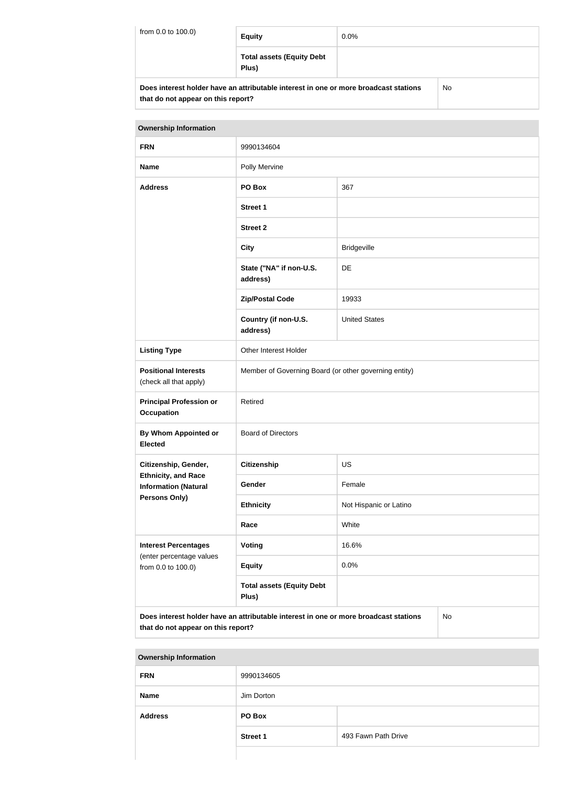| from 0.0 to 100.0) | <b>Equity</b>                                                                        | $0.0\%$ |     |
|--------------------|--------------------------------------------------------------------------------------|---------|-----|
|                    | <b>Total assets (Equity Debt</b><br>Plus)                                            |         |     |
|                    | Does interest holder have an attributable interest in one or more broadcast stations |         | No. |

**that do not appear on this report?**

| <b>Ownership Information</b>                                                                                                     |                                                       |                        |  |
|----------------------------------------------------------------------------------------------------------------------------------|-------------------------------------------------------|------------------------|--|
| <b>FRN</b>                                                                                                                       | 9990134604                                            |                        |  |
| <b>Name</b>                                                                                                                      | Polly Mervine                                         |                        |  |
| <b>Address</b>                                                                                                                   | PO Box                                                | 367                    |  |
|                                                                                                                                  | <b>Street 1</b>                                       |                        |  |
|                                                                                                                                  | <b>Street 2</b>                                       |                        |  |
|                                                                                                                                  | <b>City</b>                                           | <b>Bridgeville</b>     |  |
|                                                                                                                                  | State ("NA" if non-U.S.<br>address)                   | DE                     |  |
|                                                                                                                                  | <b>Zip/Postal Code</b>                                | 19933                  |  |
|                                                                                                                                  | Country (if non-U.S.<br>address)                      | <b>United States</b>   |  |
| <b>Listing Type</b>                                                                                                              | Other Interest Holder                                 |                        |  |
| <b>Positional Interests</b><br>(check all that apply)                                                                            | Member of Governing Board (or other governing entity) |                        |  |
| <b>Principal Profession or</b><br><b>Occupation</b>                                                                              | Retired                                               |                        |  |
| <b>By Whom Appointed or</b><br><b>Elected</b>                                                                                    | <b>Board of Directors</b>                             |                        |  |
| Citizenship, Gender,                                                                                                             | Citizenship                                           | <b>US</b>              |  |
| <b>Ethnicity, and Race</b><br><b>Information (Natural</b>                                                                        | Gender                                                | Female                 |  |
| Persons Only)                                                                                                                    | <b>Ethnicity</b>                                      | Not Hispanic or Latino |  |
|                                                                                                                                  | Race                                                  | White                  |  |
| <b>Interest Percentages</b>                                                                                                      | Voting                                                | 16.6%                  |  |
| (enter percentage values<br>from 0.0 to 100.0)                                                                                   | <b>Equity</b>                                         | 0.0%                   |  |
|                                                                                                                                  | <b>Total assets (Equity Debt</b><br>Plus)             |                        |  |
| Does interest holder have an attributable interest in one or more broadcast stations<br>No<br>that do not appear on this report? |                                                       |                        |  |

| <b>Ownership Information</b> |                 |                     |
|------------------------------|-----------------|---------------------|
| <b>FRN</b>                   | 9990134605      |                     |
| <b>Name</b>                  | Jim Dorton      |                     |
| <b>Address</b>               | PO Box          |                     |
|                              | <b>Street 1</b> | 493 Fawn Path Drive |
|                              |                 |                     |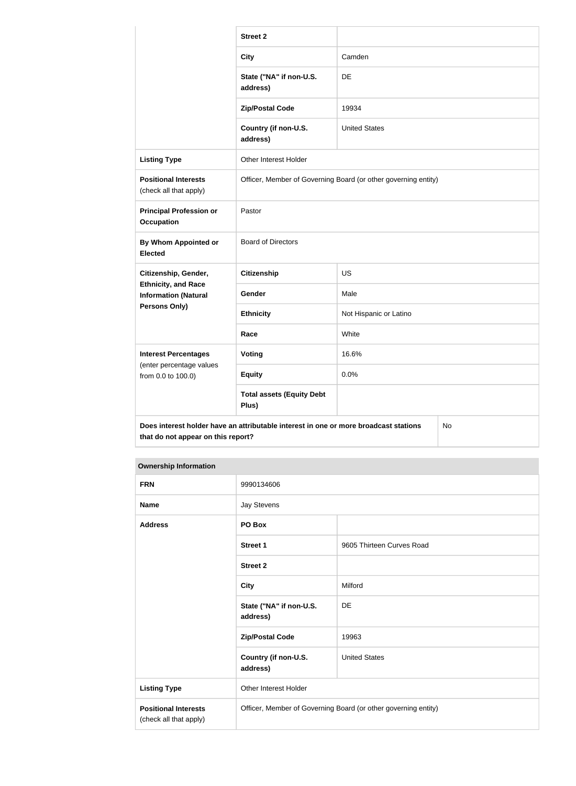|                                                                                                                                  | <b>Street 2</b>                                                |                        |  |
|----------------------------------------------------------------------------------------------------------------------------------|----------------------------------------------------------------|------------------------|--|
|                                                                                                                                  | <b>City</b>                                                    | Camden                 |  |
|                                                                                                                                  | State ("NA" if non-U.S.<br>address)                            | DE                     |  |
|                                                                                                                                  | <b>Zip/Postal Code</b>                                         | 19934                  |  |
|                                                                                                                                  | Country (if non-U.S.<br>address)                               | <b>United States</b>   |  |
| <b>Listing Type</b>                                                                                                              | Other Interest Holder                                          |                        |  |
| <b>Positional Interests</b><br>(check all that apply)                                                                            | Officer, Member of Governing Board (or other governing entity) |                        |  |
| <b>Principal Profession or</b><br><b>Occupation</b>                                                                              | Pastor                                                         |                        |  |
| By Whom Appointed or<br><b>Elected</b>                                                                                           | <b>Board of Directors</b>                                      |                        |  |
| Citizenship, Gender,                                                                                                             | <b>Citizenship</b>                                             | <b>US</b>              |  |
| <b>Ethnicity, and Race</b><br><b>Information (Natural</b>                                                                        | Gender                                                         | Male                   |  |
| Persons Only)                                                                                                                    | <b>Ethnicity</b>                                               | Not Hispanic or Latino |  |
|                                                                                                                                  | Race                                                           | White                  |  |
| <b>Interest Percentages</b>                                                                                                      | Voting                                                         | 16.6%                  |  |
| (enter percentage values<br>from 0.0 to 100.0)                                                                                   | <b>Equity</b>                                                  | 0.0%                   |  |
|                                                                                                                                  | <b>Total assets (Equity Debt</b><br>Plus)                      |                        |  |
| Does interest holder have an attributable interest in one or more broadcast stations<br>No<br>that do not appear on this report? |                                                                |                        |  |

# **Ownership Information**

| <b>FRN</b>                                            | 9990134606                                                     |                           |
|-------------------------------------------------------|----------------------------------------------------------------|---------------------------|
| <b>Name</b>                                           | <b>Jay Stevens</b>                                             |                           |
| <b>Address</b>                                        | PO Box                                                         |                           |
|                                                       | <b>Street 1</b>                                                | 9605 Thirteen Curves Road |
|                                                       | <b>Street 2</b>                                                |                           |
|                                                       | <b>City</b>                                                    | Milford                   |
|                                                       | State ("NA" if non-U.S.<br>address)                            | DE                        |
|                                                       | <b>Zip/Postal Code</b>                                         | 19963                     |
|                                                       | Country (if non-U.S.<br>address)                               | <b>United States</b>      |
| <b>Listing Type</b>                                   | Other Interest Holder                                          |                           |
| <b>Positional Interests</b><br>(check all that apply) | Officer, Member of Governing Board (or other governing entity) |                           |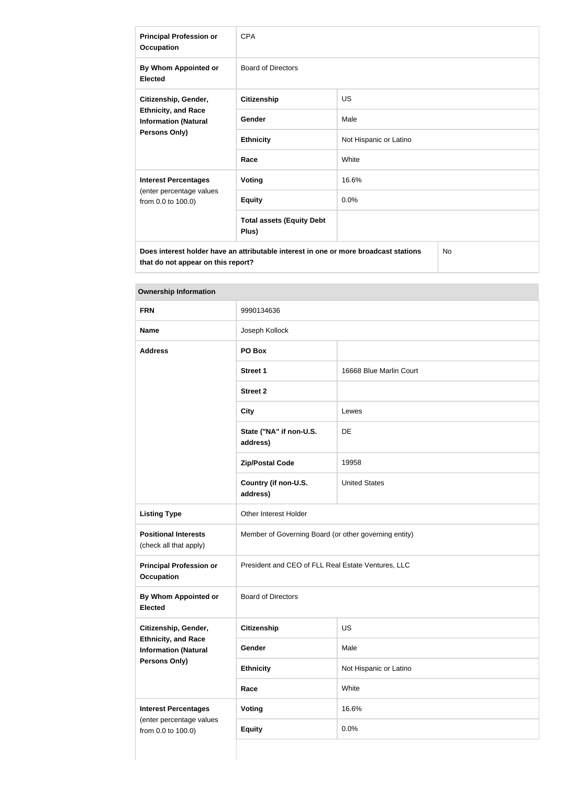| <b>Principal Profession or</b><br><b>Occupation</b>                                                | <b>CPA</b>                                |                        |  |
|----------------------------------------------------------------------------------------------------|-------------------------------------------|------------------------|--|
| By Whom Appointed or<br><b>Elected</b>                                                             | <b>Board of Directors</b>                 |                        |  |
| Citizenship, Gender,<br><b>Ethnicity, and Race</b><br><b>Information (Natural</b><br>Persons Only) | <b>Citizenship</b>                        | <b>US</b>              |  |
|                                                                                                    | Gender                                    | Male                   |  |
|                                                                                                    | <b>Ethnicity</b>                          | Not Hispanic or Latino |  |
|                                                                                                    | Race                                      | White                  |  |
| <b>Interest Percentages</b>                                                                        | <b>Voting</b>                             | 16.6%                  |  |
| (enter percentage values<br>from 0.0 to 100.0)                                                     | <b>Equity</b>                             | 0.0%                   |  |
|                                                                                                    | <b>Total assets (Equity Debt</b><br>Plus) |                        |  |
| No<br>Does interest holder have an attributable interest in one or more broadcast stations         |                                           |                        |  |

**Ownership Information**

**that do not appear on this report?**

| <b>FRN</b>                                                | 9990134636                                            |                         |  |
|-----------------------------------------------------------|-------------------------------------------------------|-------------------------|--|
| <b>Name</b>                                               | Joseph Kollock                                        |                         |  |
| <b>Address</b>                                            | PO Box                                                |                         |  |
|                                                           | Street 1                                              | 16668 Blue Marlin Court |  |
|                                                           | <b>Street 2</b>                                       |                         |  |
|                                                           | <b>City</b>                                           | Lewes                   |  |
|                                                           | State ("NA" if non-U.S.<br>address)                   | DE                      |  |
|                                                           | <b>Zip/Postal Code</b>                                | 19958                   |  |
|                                                           | Country (if non-U.S.<br>address)                      | <b>United States</b>    |  |
| <b>Listing Type</b>                                       | Other Interest Holder                                 |                         |  |
| <b>Positional Interests</b><br>(check all that apply)     | Member of Governing Board (or other governing entity) |                         |  |
| <b>Principal Profession or</b><br><b>Occupation</b>       | President and CEO of FLL Real Estate Ventures, LLC    |                         |  |
| By Whom Appointed or<br><b>Elected</b>                    | <b>Board of Directors</b>                             |                         |  |
| Citizenship, Gender,                                      | Citizenship                                           | US                      |  |
| <b>Ethnicity, and Race</b><br><b>Information (Natural</b> | Gender                                                | Male                    |  |
| Persons Only)                                             | <b>Ethnicity</b>                                      | Not Hispanic or Latino  |  |
|                                                           | Race                                                  | White                   |  |
| <b>Interest Percentages</b>                               | <b>Voting</b>                                         | 16.6%                   |  |
| (enter percentage values<br>from 0.0 to 100.0)            | <b>Equity</b>                                         | 0.0%                    |  |
|                                                           |                                                       |                         |  |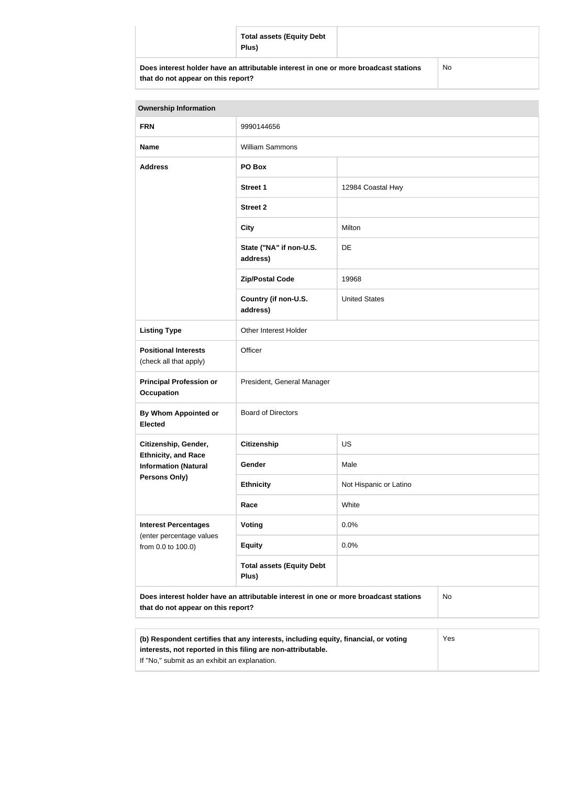| <b>Total assets (Equity Debt</b><br>Plus)                                            |           |
|--------------------------------------------------------------------------------------|-----------|
| Does interest holder have an attributable interest in one or more broadcast stations | <b>No</b> |

| that do not appear on this report?  |  |  |  |
|-------------------------------------|--|--|--|
|                                     |  |  |  |
| Sance would be the function of book |  |  |  |

| <b>Ownership Information</b>                                                                                                            |                                           |                        |  |  |
|-----------------------------------------------------------------------------------------------------------------------------------------|-------------------------------------------|------------------------|--|--|
| <b>FRN</b>                                                                                                                              | 9990144656                                |                        |  |  |
| <b>Name</b>                                                                                                                             | William Sammons                           |                        |  |  |
| <b>Address</b>                                                                                                                          | PO Box                                    |                        |  |  |
|                                                                                                                                         | <b>Street 1</b>                           | 12984 Coastal Hwy      |  |  |
|                                                                                                                                         | <b>Street 2</b>                           |                        |  |  |
|                                                                                                                                         | <b>City</b>                               | Milton                 |  |  |
|                                                                                                                                         | State ("NA" if non-U.S.<br>address)       | DE                     |  |  |
|                                                                                                                                         | <b>Zip/Postal Code</b>                    | 19968                  |  |  |
|                                                                                                                                         | Country (if non-U.S.<br>address)          | <b>United States</b>   |  |  |
| <b>Listing Type</b>                                                                                                                     | Other Interest Holder                     |                        |  |  |
| <b>Positional Interests</b><br>(check all that apply)                                                                                   | Officer                                   |                        |  |  |
| <b>Principal Profession or</b><br><b>Occupation</b>                                                                                     | President, General Manager                |                        |  |  |
| By Whom Appointed or<br><b>Elected</b>                                                                                                  | <b>Board of Directors</b>                 |                        |  |  |
| Citizenship, Gender,                                                                                                                    | <b>Citizenship</b>                        | <b>US</b>              |  |  |
| <b>Ethnicity, and Race</b><br><b>Information (Natural</b><br>Persons Only)                                                              | Gender                                    | Male                   |  |  |
|                                                                                                                                         | <b>Ethnicity</b>                          | Not Hispanic or Latino |  |  |
|                                                                                                                                         | Race                                      | White                  |  |  |
| <b>Interest Percentages</b><br>(enter percentage values<br>from 0.0 to 100.0)                                                           | Voting                                    | 0.0%                   |  |  |
|                                                                                                                                         | <b>Equity</b>                             | 0.0%                   |  |  |
|                                                                                                                                         | <b>Total assets (Equity Debt</b><br>Plus) |                        |  |  |
| Does interest holder have an attributable interest in one or more broadcast stations<br><b>No</b><br>that do not appear on this report? |                                           |                        |  |  |
|                                                                                                                                         |                                           |                        |  |  |

| (b) Respondent certifies that any interests, including equity, financial, or voting | Yes |
|-------------------------------------------------------------------------------------|-----|
| interests, not reported in this filing are non-attributable.                        |     |
| If "No," submit as an exhibit an explanation.                                       |     |